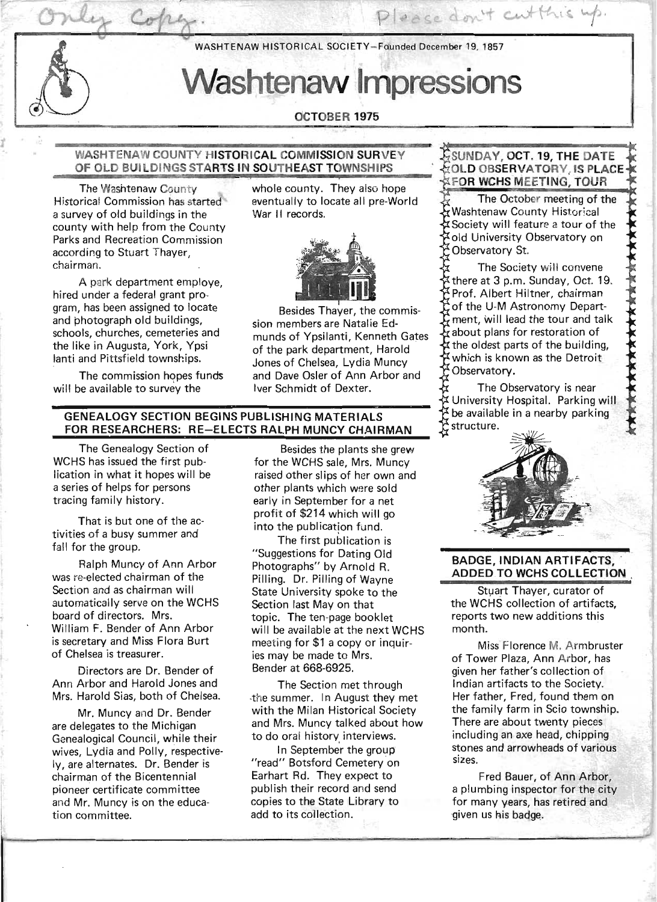WASHTENAW HISTORICAL SOCIETY-Faunded December 19, 1857

# Washtenaw Impressions

# dCTOBER 1975

#### WASHTENAW COUNTY HISTORICAL COMMISSION SURVEY OF OLD BUILDINGS STARTS IN SOUTHEAST TOWNSHIPS

The Washtenaw County Historical Commission has started a survey of old buildings in the county with help from the County Parks and Recreation Commission according to Stuart Thayer, chairman.

A park department employe, hired under a federal grant program, has been assigned to locate and photograph old buildings, schools, churches, cemeteries and the like in Augusta, York, Ypsi lanti and Pittsfield townships.

The commission hopes funds will be available to survey the

whole county. They also hope eventually to locate all pre-World War II records.



Besides Thayer, the commission members are Natalie Edmunds of Ypsilanti, Kenneth Gates of the park department, Harold Jones of Chelsea, Lydia Muncy and Dave Osler of Ann Arbor and Iver Schmidt of Dexter.

#### GENEALOGY SECTION BEGINS PUBLISHING MATERIALS FOR RESEARCHERS: RE-ELECTS RALPH MUNCY CHAIRMAN

The Genealogy Section of WCHS has issued the first publication in what it hopes will be a series of helps for persons tracing family history.

That is but one of the activities of a busy summer and fall for the group.

Ralph Muncy of Ann Arbor was re-elected chairman of the Section and as chairman will automatically serve on the WCHS board of directors. Mrs. William F. Bender of Ann Arbor is secretary and Miss Flora Burt of Chelsea is treasurer.

Directors are Dr. Bender of Ann Arbor and Harold Jones and Mrs. Harold Sias, both of Chelsea.

Mr. Muncy and Dr. Bender are delegates to the Michigan Genealogical Council, while their wives, Lydia and Polly, respective-Iy, are alternates. Dr. Bender is chairman of the Bicentennial pioneer certificate committee and Mr. Muncy is on the education committee.

Besides the plants she grew for the WCHS sale, Mrs. Muncy raised other slips of her own and other plants which were sold early in September for a net profit of \$214 which will go into the publication fund.

The first publication is "Suggestions for Dating Old Photographs" by Arnold R. Pilling. Dr. Pilling of Wayne State University spoke to the Section last May on that topic. The ten-page booklet will be available at the next WCHS meeting for \$1 a copy or inquiries may be made to Mrs. Bender at 668-6925.

. The Section met through -the summer. In August they met with the Milan Historical Society and Mrs. Muncy talked about how to do oral history interviews.

In September the group "read" Botsford Cemetery on Earhart Rd. They expect to publish their record and send copies to the State Library to add to its collection.

SUNDAY, OCT. 19, THE DATE OLD OBSERVATORY, IS PLACE FOR WCHS MEETING, TOUR

Please don't cutthis up.

The October meeting of the Washtenaw County Historical Society will feature a tour of the old University Observatory on Observatory St.

The Society will convene there at 3 p.m. Sunday, Oct. 19. Prof. Albert Hiltner, chairman of the U-M Astronomy Department, will lead the tour and talk  $\vec{x}$  about plans for restoration of  $\sharp$  the oldest parts of the building, which is known as the Detroit Observatory.

\*\*\*\*\*\*\*\*\*\*\*\*\*\*\*\*\*\*\*\*\*\*\*\*\*

The Observatory is near University Hospital. Parking will  $\overleftrightarrow{b}$  be available in a nearby parking structure.



#### BADGE, INDIAN ARTIFACTS. **ADDED TO WCHS COLLECTION**

Stuart Thaver, curator of the WCHS collection of artifacts, reports two new additions this month. .

Miss Florence M. Armbruster of Tower Plaza, Ann Arbor, has given her father's collection of Indian artifacts to the Society. Her father, Fred, found them on the family farm in Scio township. There are about twenty pieces inCluding an axe head, chipping stones and arrowheads of various sizes.

Fred Bauer, of Ann Arbor, a plumbing inspector for the city for many years, has retired and given us his badge.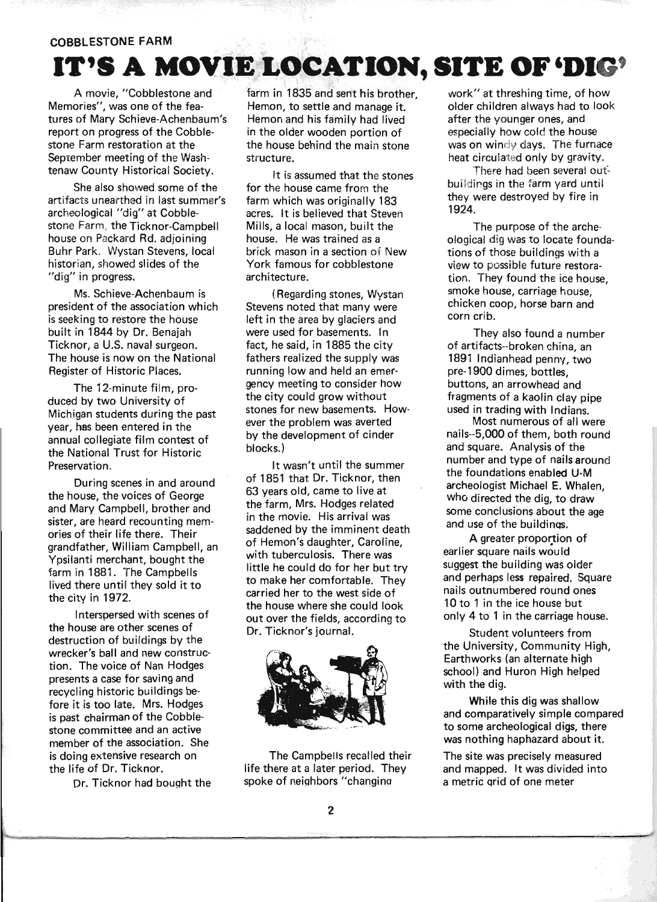#### **COBBLESTONE FARM**

# **IT'S A. MOVIE LOCATION, SITE** OF 'DIG' \

A movie, "Cobblestone and Memories", was one of the features of Mary Schieve-Achenbaum's report on progress of the Cobblestone Farm restoration at the September meeting of the Washtenaw County Historical Society.

. She also showed some of the artifacts unearthed in last summer's archeological "dig" at Cobble stone Farm, the Ticknor-Campbell house on Packard Rd. adjoining Buhr Park. Wystan Stevens, local historian, showed slides of the "dig" in progress.

Ms. Schieve-Achenbaum is president of the association which is seeking to restore the house built in 1844 by Dr. Benajah Ticknor, a U.S. naval surgeon. The house is now on the National Register of Historic Places.

The 12-minute film, produced by two University of Michigan students during the past year, has been entered in the annual collegiate film contest of the National Trust for Historic Preservation.

During scenes in and around the house, the voices of George and Mary Campbell, brother and sister, are heard recounting memories of their life there. Their grandfather, William Campbell, an Ypsilanti merchant, bought the farm in 1881. The Campbells lived there until they sold it to the city in 1972.

Interspersed with scenes of the house are other scenes of destruction of buildings by the wrecker's ball and new construction. The voice of Nan Hodges presents a case for saving and recycling historic buildings before it is too late. Mrs. Hodges is past chairman of the Cobblestone committee and an active member of the association. She is doing extensive research on the life of Dr. Ticknor.

Dr. Ticknor had bought the

**re run -**

farm in 1835 and sent his brother, Hemon, to settle and manage it. Hemon and his family had lived in the older wooden portion of the house behind the main stone structure.

It is assumed that the stones for the house came from the farm which was originally 183 acres. It is believed that Steven Mills, a local mason, built the house. He was trained as a brick mason in a section of New York famous for cobblestone architecture.

(Regarding stones, Wystan Stevens noted that many were left in the area by glaciers and were used for basements. In fact, he said, in 1885 the city fathers realized the supply was running low and held an emergency meeting to consider how the city could grow without stones for new basements. However the problem was averted by the development of cinder blocks.)

It wasn't until the summer of 1851 that Dr. Ticknor, then 63 years old, came to live at the farm, Mrs. Hodges related in the movie. His arrival was saddened by the imminent death of Hemon's daughter, Caroline, with tuberculosis. There was little he could do for her but try to make her comfortable. They carried her to the west side of the house where she could look out over the fields, according to Dr. Ticknor's journal.



The Campbells recalled their life there at a later period. They spoke of neighbors "changina

work" at threshing time, of how older children always had to look after the younger ones, and especially how cold the house was on windy days. The furnace heat circulated only by gravity.

There had been several oufbuildings in the farm yard until they were destroyed by fire in 1924.

The purpose of the archeological dig was to locate foundations of those buildings with a view to possible future restoration. They found the ice house, smoke house, carriage house, chicken coop, horse barn and corn crib.

They also found a number of artifacts--broken china, an 1891 Indianhead penny, two pre-1900 dimes, bottles, buttons, an arrowhead and fragments of a kaolin clay pipe used in trading with Indians.

Most numerous of all were nails--5,OOO of them, both round and square. Analysis of the number and type of nails around the foundations enabled U-M archeologist Michael E. Whalen, who directed the dig, to draw some conclusions about the age and use of the buildinqs.

A greater proportion of earlier square nails would suggest the building was older and perhaps less repaired. Square nails outnumbered round ones 10 to 1 in the ice house but only 4 to 1 in the carriage house.

Student volunteers from the University, Community High, Earthworks (an alternate high school) and Huron High helped with the dig.

While this dig was shallow and comparatively simple compared to some archeological digs, there was nothing haphazard about it.

The site was precisely measured and mapped. It was divided into a metric grid of one meter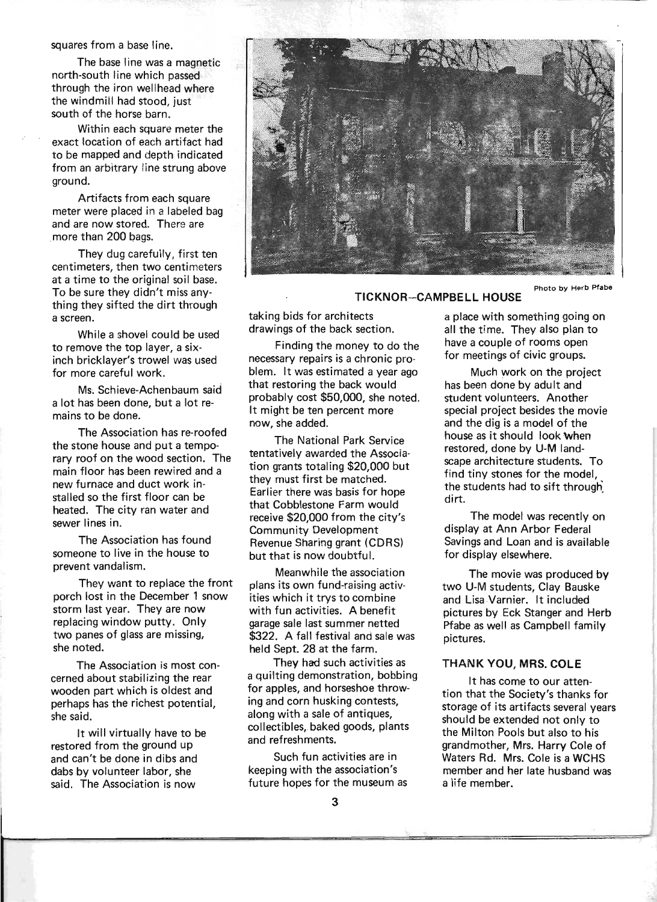squares from a base line.

The base line was a magnetic north-south line which passed through the iron wellhead where the windmill had stood, just south of the horse barn.

Within each square meter the exact location of each artifact had to be mapped and depth indicated from an arbitrary line strung above ground.

Artifacts from each square meter were placed in a labeled bag and are now stored. There are more than 200 bags.

They dug carefully, first ten centimeters, then two centimeters at a time to the original soil base. To be sure they didn't miss anything they sifted the dirt through a screen.

While a shovel could be used to remove the top layer, a sixinch bricklayer's trowel was used for more careful work.

Ms; Schieve-Achenbaum said a lot has been done, but a lot remains to be done.

The Association has re-roofed the stone house and put a temporary roof on the wood section. The main floor has been rewired and a new furnace and duct work installed so the first floor can be heated. The city ran water and sewer lines in.

The Association has found someone to live in the house to prevent vandalism.

They want to replace the front porch lost in the December 1 snow storm last year. They are now replacing window putty. Only two panes of glass are missing, she noted.

The Association is most concerned about stabilizing the rear wooden part which is oldest and perhaps has the richest potential, she said.

It will virtually have to be restored from the ground up and can't be done in dibs and dabs by volunteer labor, she said. The Association is now



TICKNOR-CAMPBELL HOUSE

taking bids for architects drawings of the back section.

Finding the money to do the necessary repairs is a chronic problem. It was estimated a year ago that restoring the back would probably cost \$50,000, she noted. It might be ten percent more now, she added.

The National Park Service tentatively awarded the Association grants totaling \$20,000 but they must first be matched. Earlier there was basis for hope that Cobblestone Farm would receive \$20,000 from the city's Community Development Revenue Sharing grant (CDRS) but that is now doubtful.

Meanwhile the association plans its own fund-raising activities which it trys to combine with fun activities. A benefit garage sale last summer netted \$322. A fall festival and sale was held Sept. 28 at the farm.

They had such activities as a quilting demonstration, bobbing for apples, and horseshoe throwing and corn husking contests. along with a sale of antiques, collectibles,. baked goods, plants and refreshments.

Such fun activities are in keeping with the association's future hopes for the museum as

a place with something going on all the time. They also plan to have a couple of rooms open for meetings of civic groups.

Much work on the project has been done by adult and student volunteers. Another special project besides the movie and the dig is a model of the house as it should look When restored, done by U-M landscape architecture students. To find tiny stones for the model, the students had to sift through~ dirt.

The model was recently on display at Ann Arbor Federal Savings and Loan and is available for display elsewhere.

The movie was produced by two U-M students, Clay Bauske and Lisa Varnier. It included pictures by Eck Stanger and Herb Pfabe as well as Campbell family pictures.

#### THANK YOU, MRS. COLE

It has come to our attention that the Society's thanks for storage of its artifacts several years should be extended not only to the Milton Pools but also to his grandmother, Mrs. Harry Cole of Waters Rd. Mrs. Cole is a WCHS member and her late husband was a life member.